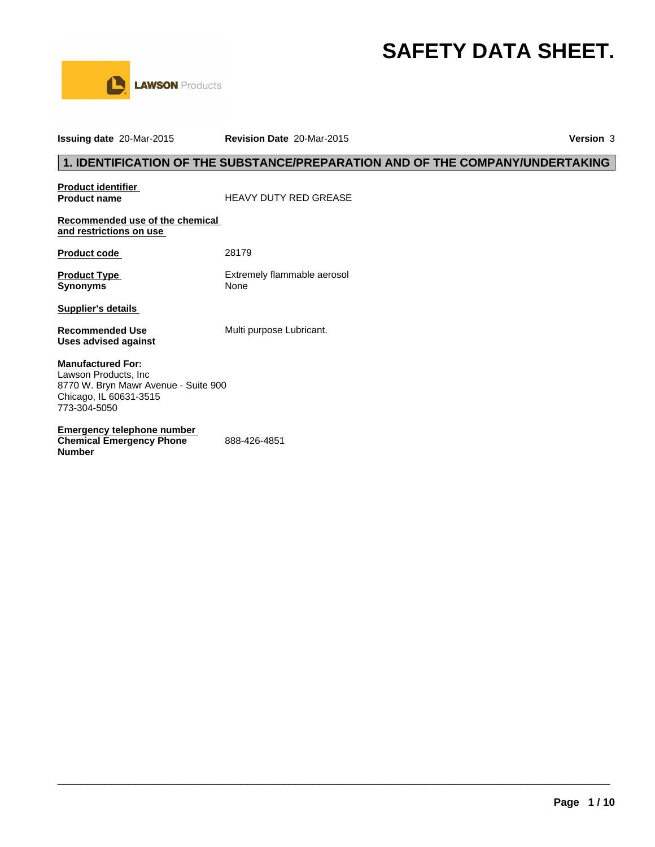# **SAFETY DATA SHEET.**



**Issuing date** 20-Mar-2015 **Revision Date** 20-Mar-2015 **Version** 3 **1. IDENTIFICATION OF THE SUBSTANCE/PREPARATION AND OF THE COMPANY/UNDERTAKING Product identifier Product name** HEAVY DUTY RED GREASE **Recommended use of the chemical and restrictions on use Product code** 28179 **Product Type Extremely flammable aerosol Synonyms** None **Supplier's details Recommended Use Multi purpose Lubricant. Uses advised against Emergency telephone number Manufactured For:** Lawson Products, Inc 8770 W. Bryn Mawr Avenue - Suite 900 Chicago, IL 60631-3515 773-304-5050

 $\_$  ,  $\_$  ,  $\_$  ,  $\_$  ,  $\_$  ,  $\_$  ,  $\_$  ,  $\_$  ,  $\_$  ,  $\_$  ,  $\_$  ,  $\_$  ,  $\_$  ,  $\_$  ,  $\_$  ,  $\_$  ,  $\_$  ,  $\_$  ,  $\_$  ,  $\_$  ,  $\_$  ,  $\_$  ,  $\_$  ,  $\_$  ,  $\_$  ,  $\_$  ,  $\_$  ,  $\_$  ,  $\_$  ,  $\_$  ,  $\_$  ,  $\_$  ,  $\_$  ,  $\_$  ,  $\_$  ,  $\_$  ,  $\_$  ,

**Chemical Emergency Phone Number** 888-426-4851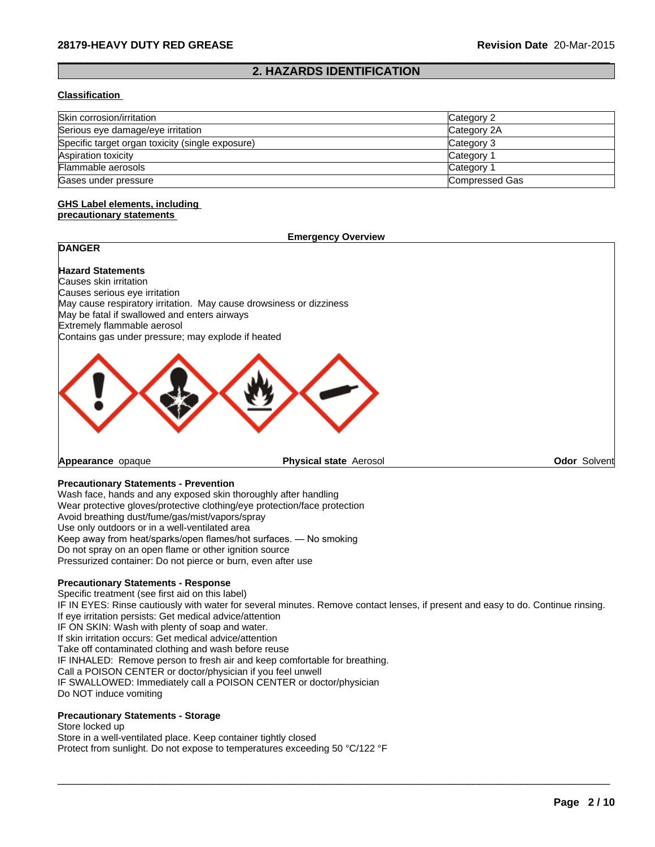# **2. HAZARDS IDENTIFICATION**

 $\_$  ,  $\_$  ,  $\_$  ,  $\_$  ,  $\_$  ,  $\_$  ,  $\_$  ,  $\_$  ,  $\_$  ,  $\_$  ,  $\_$  ,  $\_$  ,  $\_$  ,  $\_$  ,  $\_$  ,  $\_$  ,  $\_$  ,  $\_$  ,  $\_$  ,  $\_$  ,  $\_$  ,  $\_$  ,  $\_$  ,  $\_$  ,  $\_$  ,  $\_$  ,  $\_$  ,  $\_$  ,  $\_$  ,  $\_$  ,  $\_$  ,  $\_$  ,  $\_$  ,  $\_$  ,  $\_$  ,  $\_$  ,  $\_$  ,

#### **Classification**

| Skin corrosion/irritation                        | Category 2            |
|--------------------------------------------------|-----------------------|
| Serious eye damage/eye irritation                | Category 2A           |
| Specific target organ toxicity (single exposure) | Category 3            |
| Aspiration toxicity                              | Category <sup>2</sup> |
| Flammable aerosols                               | Category 1            |
| Gases under pressure                             | Compressed Gas        |

#### **GHS Label elements, including precautionary statements**

# **DANGER**

**Emergency Overview**

#### **Hazard Statements** Causes skin irritation Causes serious eye irritation May cause respiratory irritation. May cause drowsiness or dizziness May be fatal if swallowed and enters airways Extremely flammable aerosol Contains gas under pressure; may explode if heated



**Appearance** opaque

**Physical state** Aerosol **Odor Solvent** 

#### **Precautionary Statements - Prevention**

Wash face, hands and any exposed skin thoroughly after handling Wear protective gloves/protective clothing/eye protection/face protection Avoid breathing dust/fume/gas/mist/vapors/spray Use only outdoors or in a well-ventilated area Keep away from heat/sparks/open flames/hot surfaces. — No smoking Do not spray on an open flame or other ignition source Pressurized container: Do not pierce or burn, even after use

#### **Precautionary Statements - Response**

Specific treatment (see first aid on this label) IF IN EYES: Rinse cautiously with water for several minutes. Remove contact lenses, if present and easy to do. Continue rinsing. If eye irritation persists: Get medical advice/attention IF ON SKIN: Wash with plenty of soap and water. If skin irritation occurs: Get medical advice/attention Take off contaminated clothing and wash before reuse IF INHALED: Remove person to fresh air and keep comfortable for breathing. Call a POISON CENTER or doctor/physician if you feel unwell IF SWALLOWED: Immediately call a POISON CENTER or doctor/physician Do NOT induce vomiting

 $\_$  ,  $\_$  ,  $\_$  ,  $\_$  ,  $\_$  ,  $\_$  ,  $\_$  ,  $\_$  ,  $\_$  ,  $\_$  ,  $\_$  ,  $\_$  ,  $\_$  ,  $\_$  ,  $\_$  ,  $\_$  ,  $\_$  ,  $\_$  ,  $\_$  ,  $\_$  ,  $\_$  ,  $\_$  ,  $\_$  ,  $\_$  ,  $\_$  ,  $\_$  ,  $\_$  ,  $\_$  ,  $\_$  ,  $\_$  ,  $\_$  ,  $\_$  ,  $\_$  ,  $\_$  ,  $\_$  ,  $\_$  ,  $\_$  ,

#### **Precautionary Statements - Storage**

Store locked up Store in a well-ventilated place. Keep container tightly closed Protect from sunlight. Do not expose to temperatures exceeding 50 °C/122 °F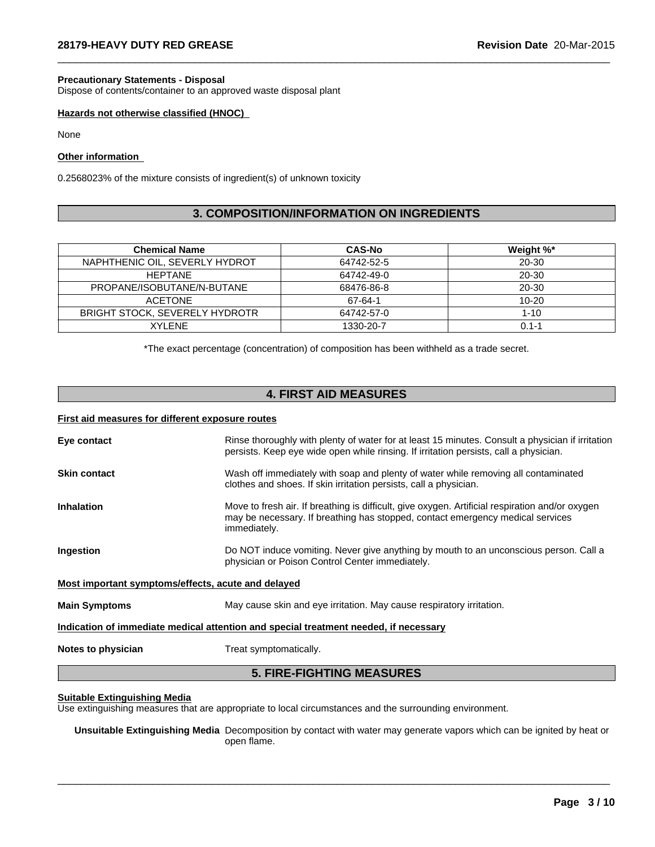#### **Precautionary Statements - Disposal**

Dispose of contents/container to an approved waste disposal plant

#### **Hazards not otherwise classified (HNOC)**

None

#### **Other information**

0.2568023% of the mixture consists of ingredient(s) of unknown toxicity

# **3. COMPOSITION/INFORMATION ON INGREDIENTS**

 $\_$  ,  $\_$  ,  $\_$  ,  $\_$  ,  $\_$  ,  $\_$  ,  $\_$  ,  $\_$  ,  $\_$  ,  $\_$  ,  $\_$  ,  $\_$  ,  $\_$  ,  $\_$  ,  $\_$  ,  $\_$  ,  $\_$  ,  $\_$  ,  $\_$  ,  $\_$  ,  $\_$  ,  $\_$  ,  $\_$  ,  $\_$  ,  $\_$  ,  $\_$  ,  $\_$  ,  $\_$  ,  $\_$  ,  $\_$  ,  $\_$  ,  $\_$  ,  $\_$  ,  $\_$  ,  $\_$  ,  $\_$  ,  $\_$  ,

| <b>Chemical Name</b>                  | <b>CAS-No</b> | Weight %* |
|---------------------------------------|---------------|-----------|
| NAPHTHENIC OIL, SEVERLY HYDROT        | 64742-52-5    | $20 - 30$ |
| <b>HEPTANE</b>                        | 64742-49-0    | 20-30     |
| PROPANE/ISOBUTANE/N-BUTANE            | 68476-86-8    | 20-30     |
| <b>ACETONE</b>                        | 67-64-1       | $10 - 20$ |
| <b>BRIGHT STOCK, SEVERELY HYDROTR</b> | 64742-57-0    | $1 - 10$  |
| XYI ENE                               | 1330-20-7     | $0.1 - 1$ |

\*The exact percentage (concentration) of composition has been withheld as a trade secret.

# **4. FIRST AID MEASURES**

#### **First aid measures for different exposure routes**

| Eye contact                                                                          | Rinse thoroughly with plenty of water for at least 15 minutes. Consult a physician if irritation<br>persists. Keep eye wide open while rinsing. If irritation persists, call a physician.         |  |  |
|--------------------------------------------------------------------------------------|---------------------------------------------------------------------------------------------------------------------------------------------------------------------------------------------------|--|--|
| <b>Skin contact</b>                                                                  | Wash off immediately with soap and plenty of water while removing all contaminated<br>clothes and shoes. If skin irritation persists, call a physician.                                           |  |  |
| <b>Inhalation</b>                                                                    | Move to fresh air. If breathing is difficult, give oxygen. Artificial respiration and/or oxygen<br>may be necessary. If breathing has stopped, contact emergency medical services<br>immediately. |  |  |
| Ingestion                                                                            | Do NOT induce vomiting. Never give anything by mouth to an unconscious person. Call a<br>physician or Poison Control Center immediately.                                                          |  |  |
| Most important symptoms/effects, acute and delayed                                   |                                                                                                                                                                                                   |  |  |
| <b>Main Symptoms</b>                                                                 | May cause skin and eye irritation. May cause respiratory irritation.                                                                                                                              |  |  |
| Indication of immediate medical attention and special treatment needed, if necessary |                                                                                                                                                                                                   |  |  |
| Notes to physician                                                                   | Treat symptomatically.                                                                                                                                                                            |  |  |
|                                                                                      |                                                                                                                                                                                                   |  |  |

#### **5. FIRE-FIGHTING MEASURES**

#### **Suitable Extinguishing Media**

Use extinguishing measures that are appropriate to local circumstances and the surrounding environment.

**Unsuitable Extinguishing Media** Decomposition by contact with water may generate vapors which can be ignited by heat or open flame.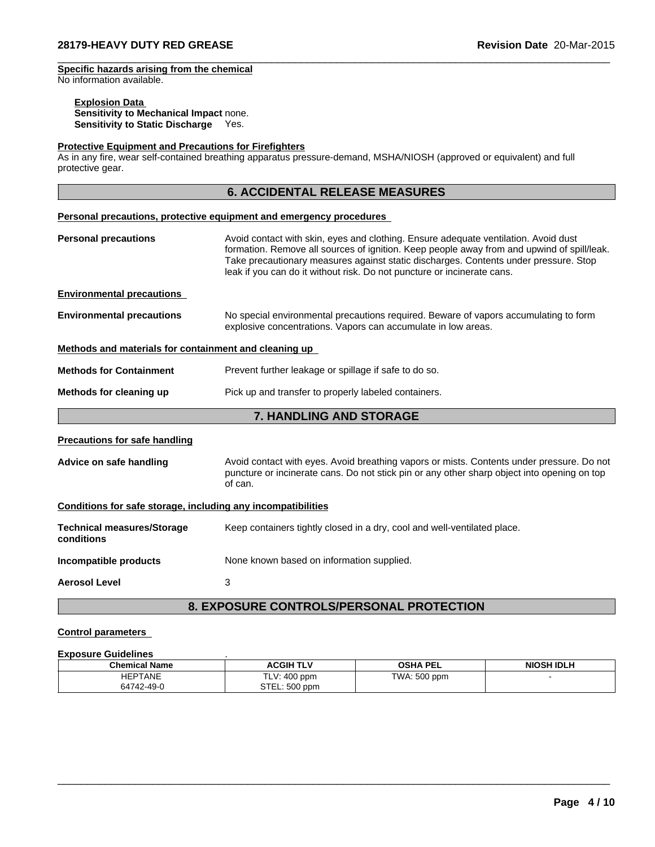#### **Specific hazards arising from the chemical** No information available.

# **Explosion Data**

**Sensitivity to Mechanical Impact** none. **Sensitivity to Static Discharge** Yes.

#### **Protective Equipment and Precautions for Firefighters**

As in any fire, wear self-contained breathing apparatus pressure-demand, MSHA/NIOSH (approved or equivalent) and full protective gear.

# **6. ACCIDENTAL RELEASE MEASURES**

 $\_$  ,  $\_$  ,  $\_$  ,  $\_$  ,  $\_$  ,  $\_$  ,  $\_$  ,  $\_$  ,  $\_$  ,  $\_$  ,  $\_$  ,  $\_$  ,  $\_$  ,  $\_$  ,  $\_$  ,  $\_$  ,  $\_$  ,  $\_$  ,  $\_$  ,  $\_$  ,  $\_$  ,  $\_$  ,  $\_$  ,  $\_$  ,  $\_$  ,  $\_$  ,  $\_$  ,  $\_$  ,  $\_$  ,  $\_$  ,  $\_$  ,  $\_$  ,  $\_$  ,  $\_$  ,  $\_$  ,  $\_$  ,  $\_$  ,

|                                                                                                                                                                                                                                                                                                                                                                                     | Personal precautions, protective equipment and emergency procedures                                                                                   |  |  |  |  |
|-------------------------------------------------------------------------------------------------------------------------------------------------------------------------------------------------------------------------------------------------------------------------------------------------------------------------------------------------------------------------------------|-------------------------------------------------------------------------------------------------------------------------------------------------------|--|--|--|--|
| Avoid contact with skin, eyes and clothing. Ensure adequate ventilation. Avoid dust<br><b>Personal precautions</b><br>formation. Remove all sources of ignition. Keep people away from and upwind of spill/leak.<br>Take precautionary measures against static discharges. Contents under pressure. Stop<br>leak if you can do it without risk. Do not puncture or incinerate cans. |                                                                                                                                                       |  |  |  |  |
| <b>Environmental precautions</b>                                                                                                                                                                                                                                                                                                                                                    |                                                                                                                                                       |  |  |  |  |
| <b>Environmental precautions</b>                                                                                                                                                                                                                                                                                                                                                    | No special environmental precautions required. Beware of vapors accumulating to form<br>explosive concentrations. Vapors can accumulate in low areas. |  |  |  |  |
| Methods and materials for containment and cleaning up                                                                                                                                                                                                                                                                                                                               |                                                                                                                                                       |  |  |  |  |
| <b>Methods for Containment</b>                                                                                                                                                                                                                                                                                                                                                      | Prevent further leakage or spillage if safe to do so.                                                                                                 |  |  |  |  |
| Methods for cleaning up                                                                                                                                                                                                                                                                                                                                                             | Pick up and transfer to properly labeled containers.                                                                                                  |  |  |  |  |
|                                                                                                                                                                                                                                                                                                                                                                                     | <b>7. HANDLING AND STORAGE</b>                                                                                                                        |  |  |  |  |
| <b>Precautions for safe handling</b>                                                                                                                                                                                                                                                                                                                                                |                                                                                                                                                       |  |  |  |  |
| Avoid contact with eyes. Avoid breathing vapors or mists. Contents under pressure. Do not<br>Advice on safe handling<br>puncture or incinerate cans. Do not stick pin or any other sharp object into opening on top<br>of can.                                                                                                                                                      |                                                                                                                                                       |  |  |  |  |
| Conditions for safe storage, including any incompatibilities                                                                                                                                                                                                                                                                                                                        |                                                                                                                                                       |  |  |  |  |
| <b>Technical measures/Storage</b><br>conditions                                                                                                                                                                                                                                                                                                                                     | Keep containers tightly closed in a dry, cool and well-ventilated place.                                                                              |  |  |  |  |
| Incompatible products                                                                                                                                                                                                                                                                                                                                                               | None known based on information supplied.                                                                                                             |  |  |  |  |
| <b>Aerosol Level</b>                                                                                                                                                                                                                                                                                                                                                                | 3                                                                                                                                                     |  |  |  |  |
|                                                                                                                                                                                                                                                                                                                                                                                     |                                                                                                                                                       |  |  |  |  |

# **8. EXPOSURE CONTROLS/PERSONAL PROTECTION**

# **Control parameters**

# **Exposure Guidelines** .

| <b>Chemical Name</b> | <b>ACGIH TLV</b>           | <b>OSHA PEL</b> | NIOSH IDLH |
|----------------------|----------------------------|-----------------|------------|
| <b>HEPTANE</b>       | $400$ ppm<br>T111.<br>LV.  | TWA: 500 ppm    |            |
| 64742-49-0           | ੨⊤⊏<br>: 500 ppm<br>.∟∟ا ن |                 |            |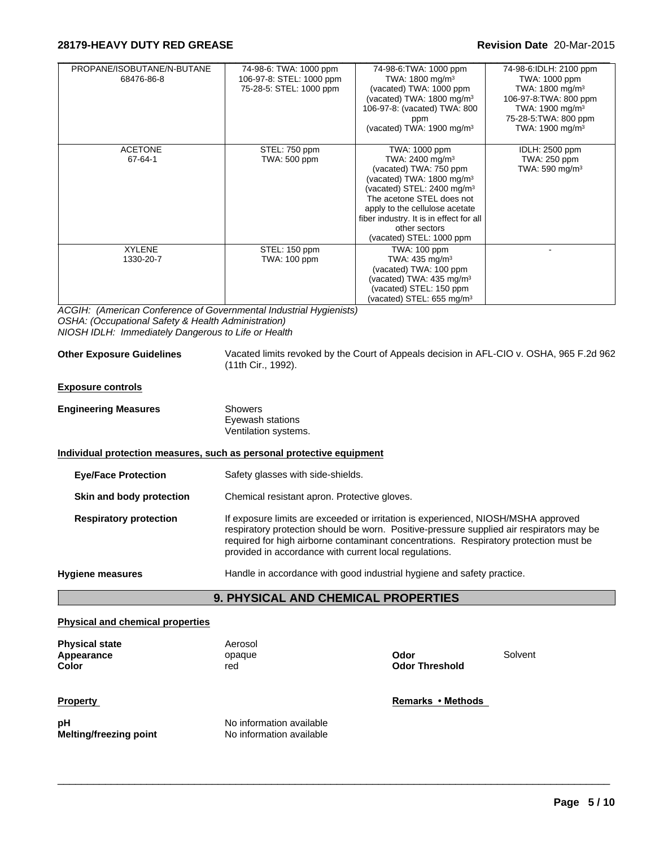| PROPANE/ISOBUTANE/N-BUTANE<br>68476-86-8 | 74-98-6: TWA: 1000 ppm<br>106-97-8: STEL: 1000 ppm<br>75-28-5: STEL: 1000 ppm | 74-98-6: TWA: 1000 ppm<br>TWA: 1800 mg/m <sup>3</sup><br>(vacated) TWA: 1000 ppm<br>(vacated) TWA: $1800 \text{ mg/m}^3$<br>106-97-8: (vacated) TWA: 800<br>ppm<br>(vacated) TWA: 1900 mg/m <sup>3</sup>                                                                                                        | 74-98-6:IDLH: 2100 ppm<br>TWA: 1000 ppm<br>TWA: 1800 mg/m <sup>3</sup><br>106-97-8: TWA: 800 ppm<br>TWA: 1900 mg/m <sup>3</sup><br>75-28-5: TWA: 800 ppm<br>TWA: 1900 mg/m <sup>3</sup> |
|------------------------------------------|-------------------------------------------------------------------------------|-----------------------------------------------------------------------------------------------------------------------------------------------------------------------------------------------------------------------------------------------------------------------------------------------------------------|-----------------------------------------------------------------------------------------------------------------------------------------------------------------------------------------|
| <b>ACETONE</b><br>67-64-1                | STEL: 750 ppm<br>TWA: 500 ppm                                                 | TWA: 1000 ppm<br>TWA: 2400 mg/m <sup>3</sup><br>(vacated) TWA: 750 ppm<br>(vacated) TWA: $1800 \text{ mg/m}^3$<br>(vacated) STEL: 2400 mg/m <sup>3</sup><br>The acetone STEL does not<br>apply to the cellulose acetate<br>fiber industry. It is in effect for all<br>other sectors<br>(vacated) STEL: 1000 ppm | IDLH: 2500 ppm<br>TWA: 250 ppm<br>TWA: $590 \text{ mg/m}^3$                                                                                                                             |
| <b>XYLENE</b><br>1330-20-7               | STEL: 150 ppm<br>TWA: 100 ppm                                                 | <b>TWA: 100 ppm</b><br>TWA: $435 \text{ mg/m}^3$<br>(vacated) TWA: 100 ppm<br>(vacated) TWA: $435 \text{ mg/m}^3$<br>(vacated) STEL: 150 ppm<br>(vacated) STEL: $655 \text{ mg/m}^3$                                                                                                                            |                                                                                                                                                                                         |

*ACGIH: (American Conference of Governmental Industrial Hygienists) OSHA: (Occupational Safety & Health Administration) NIOSH IDLH: Immediately Dangerous to Life or Health*

| <b>Other Exposure Guidelines</b> |  |  |
|----------------------------------|--|--|
|----------------------------------|--|--|

Vacated limits revoked by the Court of Appeals decision in AFL-CIO v. OSHA, 965 F.2d 962 (11th Cir., 1992).

**Exposure controls**

| <b>Engineering Measures</b> | Showers              |  |
|-----------------------------|----------------------|--|
|                             | Eyewash stations     |  |
|                             | Ventilation systems. |  |

#### **Individual protection measures, such as personal protective equipment**

| <b>Eye/Face Protection</b>    | Safety glasses with side-shields.                                                                                                                                                                                                                                                                                                |
|-------------------------------|----------------------------------------------------------------------------------------------------------------------------------------------------------------------------------------------------------------------------------------------------------------------------------------------------------------------------------|
| Skin and body protection      | Chemical resistant apron. Protective gloves.                                                                                                                                                                                                                                                                                     |
| <b>Respiratory protection</b> | If exposure limits are exceeded or irritation is experienced, NIOSH/MSHA approved<br>respiratory protection should be worn. Positive-pressure supplied air respirators may be<br>required for high airborne contaminant concentrations. Respiratory protection must be<br>provided in accordance with current local regulations. |
| <b>Hygiene measures</b>       | Handle in accordance with good industrial hygiene and safety practice.                                                                                                                                                                                                                                                           |

# **9. PHYSICAL AND CHEMICAL PROPERTIES**

#### **Physical and chemical properties**

**Physical state** Aerosol<br> **Appearance** Appearance **Appearance** opaque **Odor** Solvent

**Color Color Color Color Color Color Color Color Color Color Color Color Color Color Color Color Color Color Color Color Color Color Color Color Color Color Color Color** 

 $\_$  ,  $\_$  ,  $\_$  ,  $\_$  ,  $\_$  ,  $\_$  ,  $\_$  ,  $\_$  ,  $\_$  ,  $\_$  ,  $\_$  ,  $\_$  ,  $\_$  ,  $\_$  ,  $\_$  ,  $\_$  ,  $\_$  ,  $\_$  ,  $\_$  ,  $\_$  ,  $\_$  ,  $\_$  ,  $\_$  ,  $\_$  ,  $\_$  ,  $\_$  ,  $\_$  ,  $\_$  ,  $\_$  ,  $\_$  ,  $\_$  ,  $\_$  ,  $\_$  ,  $\_$  ,  $\_$  ,  $\_$  ,  $\_$  ,

**pH** No information available **Melting/freezing point**

No information available

**Property Remarks** • Methods *Remarks* • Methods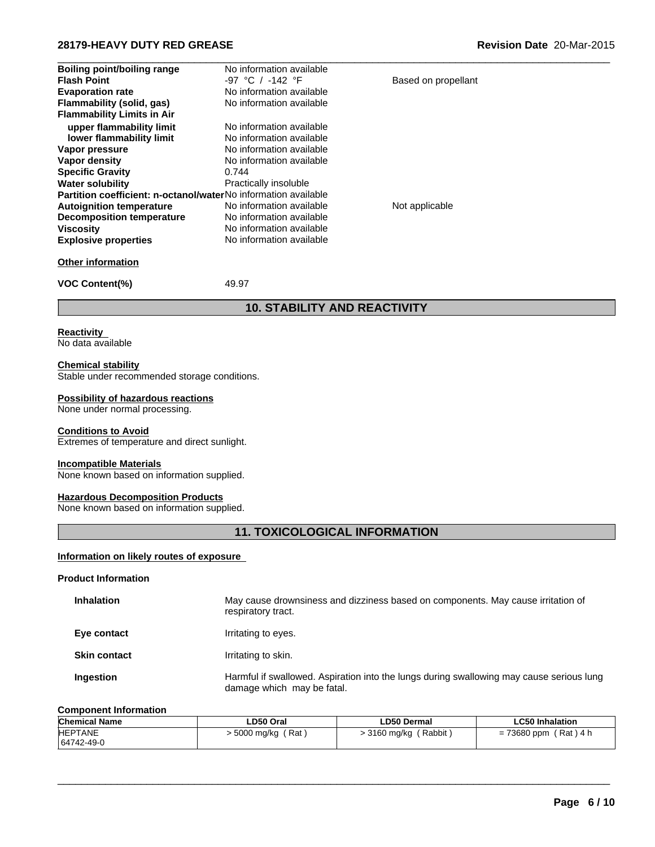| <b>Boiling point/boiling range</b>                             | No information available            |                     |  |
|----------------------------------------------------------------|-------------------------------------|---------------------|--|
| <b>Flash Point</b>                                             | $-97$ °C / $-142$ °F                | Based on propellant |  |
| <b>Evaporation rate</b>                                        | No information available            |                     |  |
| Flammability (solid, gas)                                      | No information available            |                     |  |
| <b>Flammability Limits in Air</b>                              |                                     |                     |  |
| upper flammability limit                                       | No information available            |                     |  |
| lower flammability limit                                       | No information available            |                     |  |
| Vapor pressure                                                 | No information available            |                     |  |
| Vapor density                                                  | No information available            |                     |  |
| <b>Specific Gravity</b>                                        | 0.744                               |                     |  |
| <b>Water solubility</b>                                        | Practically insoluble               |                     |  |
| Partition coefficient: n-octanol/waterNo information available |                                     |                     |  |
| <b>Autoignition temperature</b>                                | No information available            | Not applicable      |  |
| <b>Decomposition temperature</b>                               | No information available            |                     |  |
| <b>Viscosity</b>                                               | No information available            |                     |  |
| <b>Explosive properties</b>                                    | No information available            |                     |  |
| <b>Other information</b>                                       |                                     |                     |  |
| <b>VOC Content(%)</b>                                          | 49.97                               |                     |  |
|                                                                | <u>10. STABILITY AND REACTIVITY</u> |                     |  |

# **Reactivity**

No data available

#### **Chemical stability**

Stable under recommended storage conditions.

### **Possibility of hazardous reactions**

None under normal processing.

#### **Conditions to Avoid**

Extremes of temperature and direct sunlight.

### **Incompatible Materials**

None known based on information supplied.

#### **Hazardous Decomposition Products**

None known based on information supplied.

# **11. TOXICOLOGICAL INFORMATION**

#### **Information on likely routes of exposure**

#### **Product Information**

| <b>Inhalation</b>   | May cause drownsiness and dizziness based on components. May cause irritation of<br>respiratory tract.                 |
|---------------------|------------------------------------------------------------------------------------------------------------------------|
| Eye contact         | Irritating to eyes.                                                                                                    |
| <b>Skin contact</b> | Irritating to skin.                                                                                                    |
| <b>Ingestion</b>    | Harmful if swallowed. Aspiration into the lungs during swallowing may cause serious lung<br>damage which may be fatal. |

#### **Component Information**

| <b>Chemical Name</b> | ∟D50 Oral             | LD50 Dermal             | <b>LC50 Inhalation</b>  |
|----------------------|-----------------------|-------------------------|-------------------------|
| <b>HEPTANE</b>       | ′ Rat<br>. 5000 mg/kg | (Rabbit<br>. 3160 mg/kg | 'Rat ) 4 h<br>73680 ppm |
| 64742-49-0           |                       |                         |                         |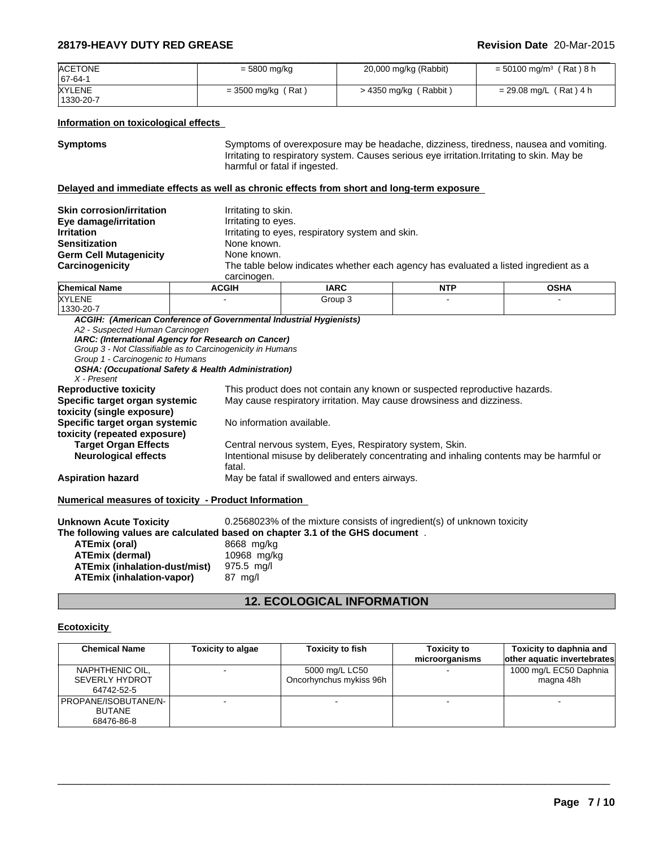| <b>ACETONE</b> | $= 5800$ mg/kg       | 20,000 mg/kg (Rabbit)   | = 50100 mg/m <sup>3</sup> (Rat)8 h |
|----------------|----------------------|-------------------------|------------------------------------|
| $ 67-64-1$     |                      |                         |                                    |
| <b>XYLENE</b>  | $=$ 3500 mg/kg (Rat) | $>$ 4350 mg/kg (Rabbit) | $= 29.08$ mg/L (Rat) 4 h           |
| 1330-20-7      |                      |                         |                                    |

### **Information on toxicological effects**

**Symptoms** Symptoms of overexposure may be headache, dizziness, tiredness, nausea and vomiting. Irritating to respiratory system. Causes serious eye irritation.Irritating to skin. May be harmful or fatal if ingested.

### **Delayed and immediate effects as well as chronic effects from short and long-term exposure**

| <b>Skin corrosion/irritation</b> | Irritating to skin.                                                                  |
|----------------------------------|--------------------------------------------------------------------------------------|
| Eye damage/irritation            | Irritating to eyes.                                                                  |
| <b>Irritation</b>                | Irritating to eyes, respiratory system and skin.                                     |
| <b>Sensitization</b>             | None known.                                                                          |
| <b>Germ Cell Mutagenicity</b>    | None known.                                                                          |
| Carcinogenicity                  | The table below indicates whether each agency has evaluated a listed ingredient as a |
|                                  | carcinogen.                                                                          |

| <b>Chemical Name</b> | <b>ACGIH</b> | <b>IARC</b> | NITO<br>. | <b>OCUA</b><br><b>UJNA</b> |
|----------------------|--------------|-------------|-----------|----------------------------|
| <b>XYLENE</b>        |              | Group       |           |                            |
| $1330 - 20 - 7$      |              |             |           |                            |

*ACGIH: (American Conference of Governmental Industrial Hygienists) A2 - Suspected Human Carcinogen IARC: (International Agency for Research on Cancer) Group 3 - Not Classifiable as to Carcinogenicity in Humans Group 1 - Carcinogenic to Humans OSHA: (Occupational Safety & Health Administration) X - Present* This product does not contain any known or suspected reproductive hazards. **Specific target organ systemic toxicity (single exposure)** May cause respiratory irritation. May cause drowsiness and dizziness. **Specific target organ systemic toxicity (repeated exposure)** No information available. **Target Organ Effects** Central nervous system, Eyes, Respiratory system, Skin.<br> **Neurological effects** Thentional misuse by deliberately concentrating and inha Intentional misuse by deliberately concentrating and inhaling contents may be harmful or fatal. **Aspiration hazard** May be fatal if swallowed and enters airways. **Numerical measures of toxicity - Product Information** 

| <b>Unknown Acute Toxicity</b>        | 0.2568023% of the mixture consists of ingredient(s) of unknown toxicity       |
|--------------------------------------|-------------------------------------------------------------------------------|
|                                      | The following values are calculated based on chapter 3.1 of the GHS document. |
| ATEmix (oral)                        | 8668 mg/kg                                                                    |
| ATEmix (dermal)                      | 10968 mg/kg                                                                   |
| <b>ATEmix (inhalation-dust/mist)</b> | 975.5 mg/l                                                                    |
| <b>ATEmix (inhalation-vapor)</b>     | 87 mg/l                                                                       |

# **12. ECOLOGICAL INFORMATION**

#### **Ecotoxicity**

| <b>Chemical Name</b>                                   | <b>Toxicity to algae</b> | <b>Toxicity to fish</b>                   | <b>Toxicity to</b><br>microorganisms | Toxicity to daphnia and<br>other aquatic invertebrates |
|--------------------------------------------------------|--------------------------|-------------------------------------------|--------------------------------------|--------------------------------------------------------|
| NAPHTHENIC OIL,<br><b>SEVERLY HYDROT</b><br>64742-52-5 |                          | 5000 mg/L LC50<br>Oncorhynchus mykiss 96h |                                      | 1000 mg/L EC50 Daphnia<br>magna 48h                    |
| PROPANE/ISOBUTANE/N-  <br><b>BUTANE</b><br>68476-86-8  |                          |                                           |                                      |                                                        |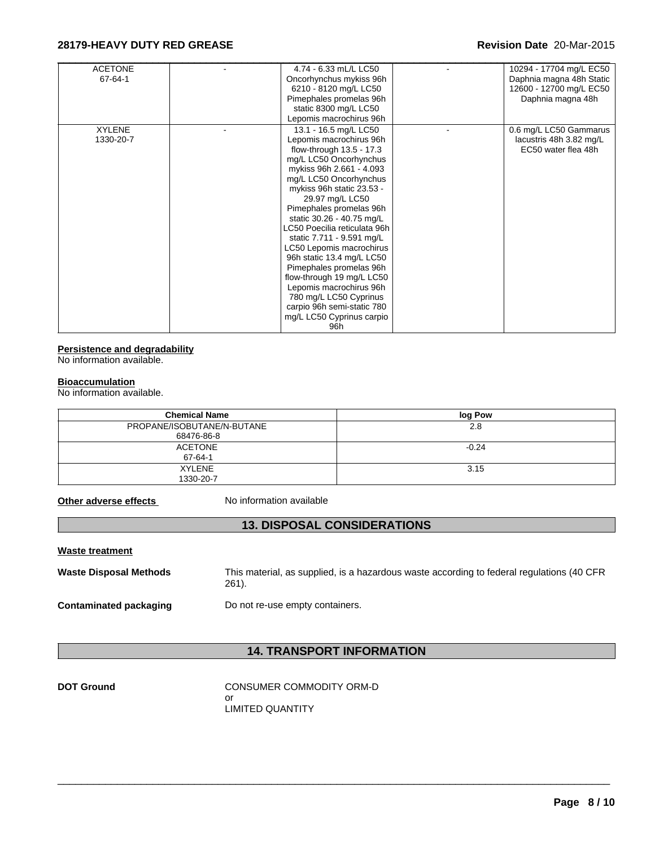| <b>ACETONE</b><br>4.74 - 6.33 mL/L LC50<br>10294 - 17704 mg/L EC50<br>$67 - 64 - 1$<br>Daphnia magna 48h Static<br>Oncorhynchus mykiss 96h<br>6210 - 8120 mg/L LC50<br>12600 - 12700 mg/L EC50<br>Pimephales promelas 96h<br>Daphnia magna 48h<br>static 8300 mg/L LC50<br>Lepomis macrochirus 96h<br><b>XYLENE</b><br>13.1 - 16.5 mg/L LC50<br>0.6 mg/L LC50 Gammarus<br>Lepomis macrochirus 96h<br>1330-20-7<br>lacustris 48h 3.82 mg/L<br>flow-through 13.5 - 17.3<br>EC50 water flea 48h<br>mg/L LC50 Oncorhynchus<br>mykiss 96h 2.661 - 4.093<br>mg/L LC50 Oncorhynchus |
|------------------------------------------------------------------------------------------------------------------------------------------------------------------------------------------------------------------------------------------------------------------------------------------------------------------------------------------------------------------------------------------------------------------------------------------------------------------------------------------------------------------------------------------------------------------------------|
|                                                                                                                                                                                                                                                                                                                                                                                                                                                                                                                                                                              |
|                                                                                                                                                                                                                                                                                                                                                                                                                                                                                                                                                                              |
|                                                                                                                                                                                                                                                                                                                                                                                                                                                                                                                                                                              |
|                                                                                                                                                                                                                                                                                                                                                                                                                                                                                                                                                                              |
|                                                                                                                                                                                                                                                                                                                                                                                                                                                                                                                                                                              |
|                                                                                                                                                                                                                                                                                                                                                                                                                                                                                                                                                                              |
|                                                                                                                                                                                                                                                                                                                                                                                                                                                                                                                                                                              |
|                                                                                                                                                                                                                                                                                                                                                                                                                                                                                                                                                                              |
|                                                                                                                                                                                                                                                                                                                                                                                                                                                                                                                                                                              |
|                                                                                                                                                                                                                                                                                                                                                                                                                                                                                                                                                                              |
|                                                                                                                                                                                                                                                                                                                                                                                                                                                                                                                                                                              |
|                                                                                                                                                                                                                                                                                                                                                                                                                                                                                                                                                                              |
| mykiss 96h static 23.53 -                                                                                                                                                                                                                                                                                                                                                                                                                                                                                                                                                    |
| 29.97 mg/L LC50                                                                                                                                                                                                                                                                                                                                                                                                                                                                                                                                                              |
| Pimephales promelas 96h                                                                                                                                                                                                                                                                                                                                                                                                                                                                                                                                                      |
| static 30.26 - 40.75 mg/L                                                                                                                                                                                                                                                                                                                                                                                                                                                                                                                                                    |
| LC50 Poecilia reticulata 96h                                                                                                                                                                                                                                                                                                                                                                                                                                                                                                                                                 |
| static 7.711 - 9.591 mg/L                                                                                                                                                                                                                                                                                                                                                                                                                                                                                                                                                    |
| LC50 Lepomis macrochirus                                                                                                                                                                                                                                                                                                                                                                                                                                                                                                                                                     |
| 96h static 13.4 mg/L LC50                                                                                                                                                                                                                                                                                                                                                                                                                                                                                                                                                    |
| Pimephales promelas 96h                                                                                                                                                                                                                                                                                                                                                                                                                                                                                                                                                      |
| flow-through 19 mg/L LC50                                                                                                                                                                                                                                                                                                                                                                                                                                                                                                                                                    |
| Lepomis macrochirus 96h                                                                                                                                                                                                                                                                                                                                                                                                                                                                                                                                                      |
| 780 mg/L LC50 Cyprinus                                                                                                                                                                                                                                                                                                                                                                                                                                                                                                                                                       |
| carpio 96h semi-static 780                                                                                                                                                                                                                                                                                                                                                                                                                                                                                                                                                   |
| mg/L LC50 Cyprinus carpio                                                                                                                                                                                                                                                                                                                                                                                                                                                                                                                                                    |
| 96h                                                                                                                                                                                                                                                                                                                                                                                                                                                                                                                                                                          |

# **Persistence and degradability**

No information available.

#### **Bioaccumulation**

No information available.

| <b>Chemical Name</b>       | log Pow |
|----------------------------|---------|
| PROPANE/ISOBUTANE/N-BUTANE | 2.8     |
| 68476-86-8                 |         |
| <b>ACETONE</b>             | $-0.24$ |
| $67 - 64 - 1$              |         |
| <b>XYLENE</b>              | 3.15    |
| 1330-20-7                  |         |

**Other adverse effects** No information available

# **13. DISPOSAL CONSIDERATIONS**

**Waste treatment**

**Waste Disposal Methods** This material, as supplied, is a hazardous waste according to federal regulations (40 CFR 261).

**Contaminated packaging** Do not re-use empty containers.

# **14. TRANSPORT INFORMATION**

 $\_$  ,  $\_$  ,  $\_$  ,  $\_$  ,  $\_$  ,  $\_$  ,  $\_$  ,  $\_$  ,  $\_$  ,  $\_$  ,  $\_$  ,  $\_$  ,  $\_$  ,  $\_$  ,  $\_$  ,  $\_$  ,  $\_$  ,  $\_$  ,  $\_$  ,  $\_$  ,  $\_$  ,  $\_$  ,  $\_$  ,  $\_$  ,  $\_$  ,  $\_$  ,  $\_$  ,  $\_$  ,  $\_$  ,  $\_$  ,  $\_$  ,  $\_$  ,  $\_$  ,  $\_$  ,  $\_$  ,  $\_$  ,  $\_$  ,

**DOT Ground CONSUMER COMMODITY ORM-D** or LIMITED QUANTITY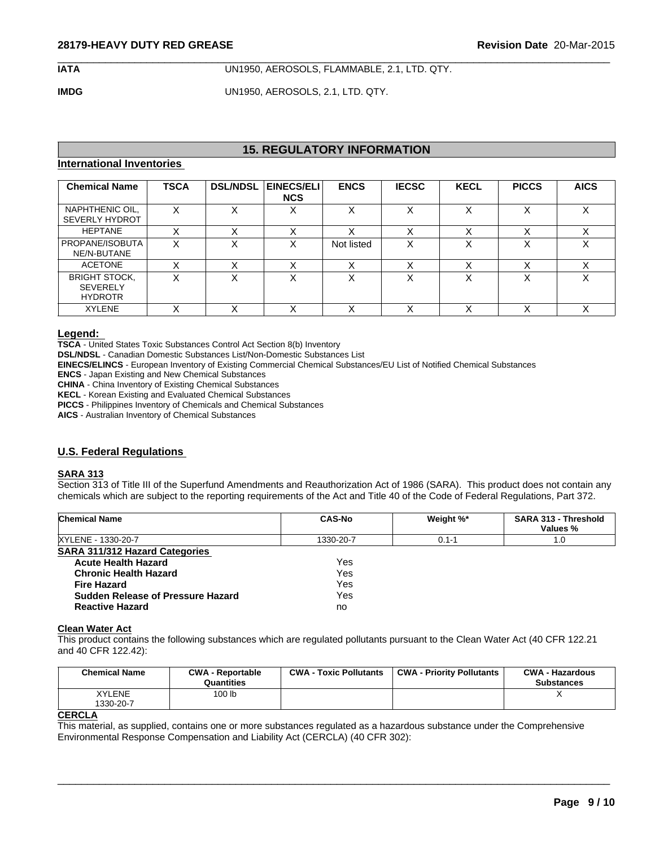**IATA** UN1950, AEROSOLS, FLAMMABLE, 2.1, LTD. QTY.

 $\_$  ,  $\_$  ,  $\_$  ,  $\_$  ,  $\_$  ,  $\_$  ,  $\_$  ,  $\_$  ,  $\_$  ,  $\_$  ,  $\_$  ,  $\_$  ,  $\_$  ,  $\_$  ,  $\_$  ,  $\_$  ,  $\_$  ,  $\_$  ,  $\_$  ,  $\_$  ,  $\_$  ,  $\_$  ,  $\_$  ,  $\_$  ,  $\_$  ,  $\_$  ,  $\_$  ,  $\_$  ,  $\_$  ,  $\_$  ,  $\_$  ,  $\_$  ,  $\_$  ,  $\_$  ,  $\_$  ,  $\_$  ,  $\_$  ,

**IMDG** UN1950, AEROSOLS, 2.1, LTD. QTY.

# **15. REGULATORY INFORMATION**

# **International Inventories**

| <b>Chemical Name</b>                                      | <b>TSCA</b> | <b>DSL/NDSL</b> | EINECS/ELI<br><b>NCS</b> | <b>ENCS</b> | <b>IECSC</b> | <b>KECL</b>       | <b>PICCS</b> | <b>AICS</b>       |
|-----------------------------------------------------------|-------------|-----------------|--------------------------|-------------|--------------|-------------------|--------------|-------------------|
| NAPHTHENIC OIL,<br><b>SEVERLY HYDROT</b>                  | X           | v<br>⋏          | $\checkmark$<br>л        | X           | X            | X                 | $\checkmark$ | X                 |
| <b>HEPTANE</b>                                            | $\lambda$   | v               |                          |             |              | $\checkmark$<br>⌒ |              | $\checkmark$      |
| PROPANE/ISOBUTA<br>NE/N-BUTANE                            | X           | x               | ⋏                        | Not listed  | X            | X                 |              | X                 |
| <b>ACETONE</b>                                            | ⌒           | v               |                          | v<br>⌒      |              | $\checkmark$<br>∧ |              | $\lambda$         |
| <b>BRIGHT STOCK,</b><br><b>SEVERELY</b><br><b>HYDROTR</b> | X           | x               | ⋏                        | X           | X            | X                 |              | X                 |
| <b>XYLENE</b>                                             | ∧           | v               | ∧                        | v<br>∧      |              | $\checkmark$<br>∧ |              | $\checkmark$<br>⌒ |

# **Legend:**

**TSCA** - United States Toxic Substances Control Act Section 8(b) Inventory

**DSL/NDSL** - Canadian Domestic Substances List/Non-Domestic Substances List

**EINECS/ELINCS** - European Inventory of Existing Commercial Chemical Substances/EU List of Notified Chemical Substances

**ENCS** - Japan Existing and New Chemical Substances

**CHINA** - China Inventory of Existing Chemical Substances

**KECL** - Korean Existing and Evaluated Chemical Substances

**PICCS** - Philippines Inventory of Chemicals and Chemical Substances

**AICS** - Australian Inventory of Chemical Substances

# **U.S. Federal Regulations**

#### **SARA 313**

Section 313 of Title III of the Superfund Amendments and Reauthorization Act of 1986 (SARA). This product does not contain any chemicals which are subject to the reporting requirements of the Act and Title 40 of the Code of Federal Regulations, Part 372.

| <b>Chemical Name</b>                  | <b>CAS-No</b> | Weight %* | <b>SARA 313 - Threshold</b><br>Values % |
|---------------------------------------|---------------|-----------|-----------------------------------------|
| XYLENE - 1330-20-7                    | 1330-20-7     | $0.1 - 1$ | 1.0                                     |
| <b>SARA 311/312 Hazard Categories</b> |               |           |                                         |
| <b>Acute Health Hazard</b>            | Yes           |           |                                         |
| <b>Chronic Health Hazard</b>          | Yes           |           |                                         |
| <b>Fire Hazard</b>                    | Yes           |           |                                         |
| Sudden Release of Pressure Hazard     | Yes           |           |                                         |
| <b>Reactive Hazard</b>                | no            |           |                                         |

#### **Clean Water Act**

This product contains the following substances which are regulated pollutants pursuant to the Clean Water Act (40 CFR 122.21 and 40 CFR 122.42):

| XYLENE<br>100 <sub>lb</sub><br>1330-20-7 | <b>Chemical Name</b> | <b>CWA - Reportable</b><br>Quantities | <b>CWA - Toxic Pollutants</b> | <b>CWA - Priority Pollutants</b> | <b>CWA - Hazardous</b><br><b>Substances</b> |
|------------------------------------------|----------------------|---------------------------------------|-------------------------------|----------------------------------|---------------------------------------------|
|                                          |                      |                                       |                               |                                  |                                             |

 $\_$  ,  $\_$  ,  $\_$  ,  $\_$  ,  $\_$  ,  $\_$  ,  $\_$  ,  $\_$  ,  $\_$  ,  $\_$  ,  $\_$  ,  $\_$  ,  $\_$  ,  $\_$  ,  $\_$  ,  $\_$  ,  $\_$  ,  $\_$  ,  $\_$  ,  $\_$  ,  $\_$  ,  $\_$  ,  $\_$  ,  $\_$  ,  $\_$  ,  $\_$  ,  $\_$  ,  $\_$  ,  $\_$  ,  $\_$  ,  $\_$  ,  $\_$  ,  $\_$  ,  $\_$  ,  $\_$  ,  $\_$  ,  $\_$  ,

#### **CERCLA**

This material, as supplied, contains one or more substances regulated as a hazardous substance under the Comprehensive Environmental Response Compensation and Liability Act (CERCLA) (40 CFR 302):